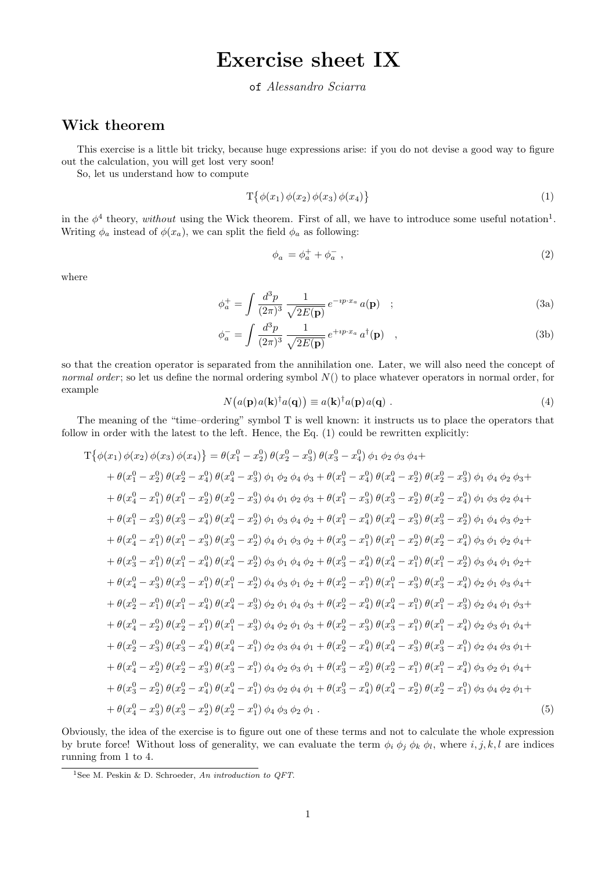## Exercise sheet IX

## of Alessandro Sciarra

## Wick theorem

This exercise is a little bit tricky, because huge expressions arise: if you do not devise a good way to figure out the calculation, you will get lost very soon!

So, let us understand how to compute

$$
T\{\phi(x_1)\,\phi(x_2)\,\phi(x_3)\,\phi(x_4)\}\tag{1}
$$

in the  $\phi^4$  theory, without using the Wick theorem. First of all, we have to introduce some useful notation<sup>1</sup>. Writing  $\phi_a$  instead of  $\phi(x_a)$ , we can split the field  $\phi_a$  as following:

$$
\phi_a = \phi_a^+ + \phi_a^-, \tag{2}
$$

where

$$
\phi_a^+ = \int \frac{d^3 p}{(2\pi)^3} \frac{1}{\sqrt{2E(\mathbf{p})}} e^{-ip \cdot x_a} a(\mathbf{p}) \quad ; \tag{3a}
$$

$$
\phi_a^- = \int \frac{d^3 p}{(2\pi)^3} \frac{1}{\sqrt{2E(\mathbf{p})}} e^{+ip\cdot x_a} a^\dagger(\mathbf{p}) \quad , \tag{3b}
$$

so that the creation operator is separated from the annihilation one. Later, we will also need the concept of normal order; so let us define the normal ordering symbol  $N()$  to place whatever operators in normal order, for example

$$
N\big(a(\mathbf{p})a(\mathbf{k})^{\dagger}a(\mathbf{q})\big) \equiv a(\mathbf{k})^{\dagger}a(\mathbf{p})a(\mathbf{q})\ .
$$
 (4)

The meaning of the "time–ordering" symbol T is well known: it instructs us to place the operators that follow in order with the latest to the left. Hence, the Eq. (1) could be rewritten explicitly:

$$
T\{\phi(x_1) \phi(x_2) \phi(x_3) \phi(x_4)\} = \theta(x_1^0 - x_2^0) \theta(x_2^0 - x_3^0) \theta(x_3^0 - x_4^0) \phi_1 \phi_2 \phi_3 \phi_4 +
$$
  
\n
$$
+ \theta(x_1^0 - x_2^0) \theta(x_2^0 - x_4^0) \theta(x_4^0 - x_3^0) \phi_1 \phi_2 \phi_4 \phi_3 + \theta(x_1^0 - x_4^0) \theta(x_4^0 - x_2^0) \theta(x_2^0 - x_3^0) \phi_1 \phi_4 \phi_2 \phi_3 +
$$
  
\n
$$
+ \theta(x_1^0 - x_1^0) \theta(x_1^0 - x_2^0) \theta(x_2^0 - x_3^0) \phi_4 \phi_1 \phi_2 \phi_3 + \theta(x_1^0 - x_3^0) \theta(x_3^0 - x_2^0) \theta(x_2^0 - x_4^0) \phi_1 \phi_3 \phi_2 \phi_4 +
$$
  
\n
$$
+ \theta(x_1^0 - x_3^0) \theta(x_3^0 - x_4^0) \theta(x_4^0 - x_2^0) \phi_1 \phi_3 \phi_4 \phi_2 + \theta(x_1^0 - x_4^0) \theta(x_4^0 - x_3^0) \theta(x_3^0 - x_2^0) \phi_1 \phi_4 \phi_3 \phi_2 +
$$
  
\n
$$
+ \theta(x_4^0 - x_1^0) \theta(x_1^0 - x_3^0) \theta(x_3^0 - x_2^0) \phi_4 \phi_1 \phi_3 \phi_2 + \theta(x_3^0 - x_1^0) \theta(x_1^0 - x_2^0) \theta(x_2^0 - x_4^0) \phi_3 \phi_1 \phi_2 \phi_4 +
$$
  
\n
$$
+ \theta(x_3^0 - x_1^0) \theta(x_1^0 - x_4^0) \theta(x_4^0 - x_2^0) \phi_3 \phi_1 \phi_4 \phi_2 + \theta(x_3^0 - x_1^0) \theta(x_1^0 - x_2^0) \theta(x_2^0 - x_4^0) \phi_3 \phi_4 \phi_2 +
$$
  
\n
$$
+ \theta(x_4^0 -
$$

Obviously, the idea of the exercise is to figure out one of these terms and not to calculate the whole expression by brute force! Without loss of generality, we can evaluate the term  $\phi_i \phi_j \phi_k \phi_l$ , where  $i, j, k, l$  are indices running from 1 to 4.

<sup>&</sup>lt;sup>1</sup>See M. Peskin & D. Schroeder, An introduction to QFT.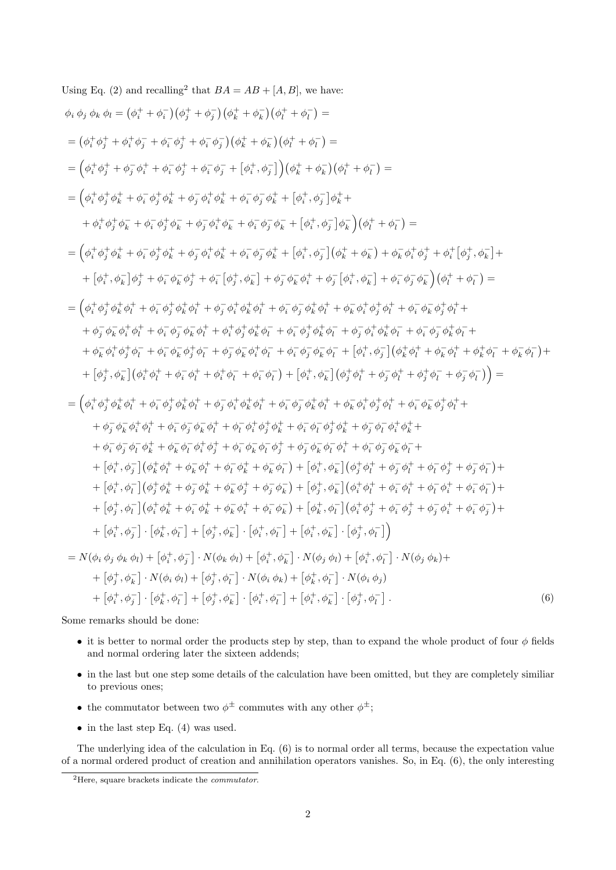Using Eq. (2) and recalling<sup>2</sup> that 
$$
BA = AB + [A, B]
$$
, we have:  
\n $\phi_i \phi_j \phi_k \phi_l = (\phi_i^+ + \phi_i^-)(\phi_j^+ + \phi_j^-)(\phi_k^+ + \phi_k^-)(\phi_l^+ + \phi_l^-) =$   
\n $= (\phi_i^+ \phi_j^+ + \phi_i^+ \phi_j^- + \phi_i^- \phi_j^+ + \phi_i^- \phi_j^-)(\phi_k^+ + \phi_k^-)(\phi_l^+ + \phi_l^-) =$   
\n $= (\phi_i^+ \phi_j^+ + \phi_i^- \phi_i^+ + \phi_i^- \phi_j^+ + \phi_i^- \phi_j^- + [\phi_i^+, \phi_j^-]) (\phi_k^+ + \phi_k^-)(\phi_l^+ + \phi_l^-) =$   
\n $= (\phi_i^+ \phi_j^+ \phi_k^+ + \phi_i^- \phi_j^+ \phi_k^+ + \phi_i^- \phi_j^- \phi_k^+ + [\phi_i^+, \phi_j^-] \phi_k^+ +$   
\n $+ \phi_i^+ \phi_j^+ \phi_k^- + \phi_i^- \phi_j^+ \phi_k^- + \phi_j^- \phi_j^- \phi_k^- + [\phi_i^+, \phi_j^-] \phi_k^+ +$   
\n $+ \phi_i^+ \phi_j^+ \phi_k^- + \phi_i^- \phi_j^+ \phi_k^- + \phi_j^- \phi_j^+ \phi_k^- + [\phi_i^+, \phi_j^-] \phi_k^- ( \phi_k^+ + \phi_k^- + \phi_k^- \phi_j^+ + \phi_l^+ [\phi_j^+, \phi_k^-] +$   
\n $+ [\phi_i^+, \phi_k^-] \phi_j^+ + \phi_i^- \phi_j^- \phi_k^+ + \phi_i^- \phi_j^- \phi_k^+ + [\phi_i^+, \phi_j^-] (\phi_k^+ + \phi_k^- + \phi_k^- \phi_j^+ \phi_k^+ + \phi_l^- \phi_k^- + \phi_l^- \phi_k^- + \phi_l^- \phi_k^- \phi_k^+ +$   
\n $+ \phi_i^- \phi_k^+ \phi_l^+ + \phi_i^- \phi_k^- \phi_k^+ + \phi_i^- \phi_j^+ \phi_k^+ \phi_l^+ + \phi_i^- \phi_j^- \phi_k^+ \phi_l^+ + \phi_i^- \phi_j^- \phi_k^+ \phi_l^+ +$   
\n $+ \phi_k^- \phi_k^+ \phi_l^+ + \phi_i^- \phi_k^- \phi_k^+ \phi_l^+ + \phi_i^+ \phi_j^+ \phi_k^$ 

Some remarks should be done:

- it is better to normal order the products step by step, than to expand the whole product of four  $\phi$  fields and normal ordering later the sixteen addends;
- in the last but one step some details of the calculation have been omitted, but they are completely similiar to previous ones;
- the commutator between two  $\phi^{\pm}$  commutes with any other  $\phi^{\pm}$ ;
- in the last step Eq.  $(4)$  was used.

The underlying idea of the calculation in Eq. (6) is to normal order all terms, because the expectation value of a normal ordered product of creation and annihilation operators vanishes. So, in Eq. (6), the only interesting

<sup>&</sup>lt;sup>2</sup>Here, square brackets indicate the *commutator*.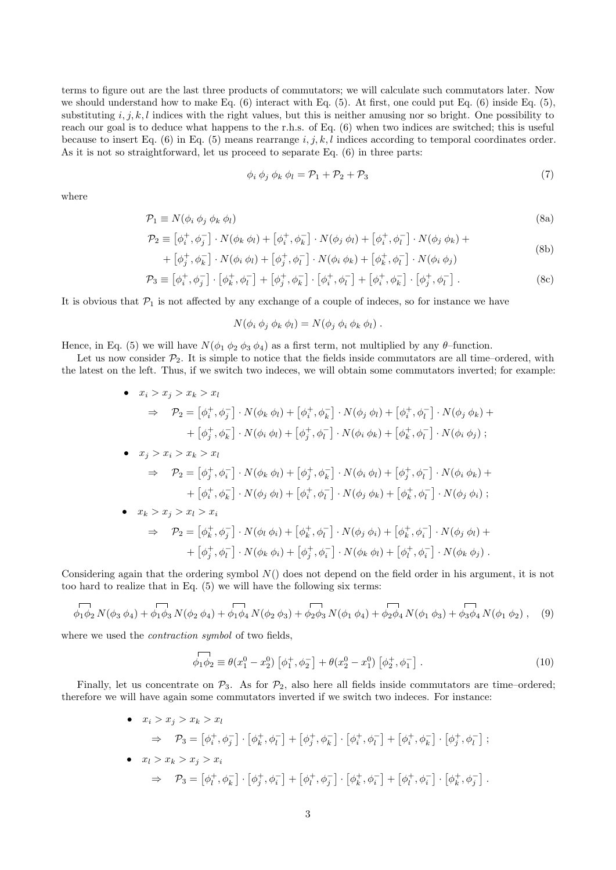terms to figure out are the last three products of commutators; we will calculate such commutators later. Now we should understand how to make Eq.  $(6)$  interact with Eq.  $(5)$ . At first, one could put Eq.  $(6)$  inside Eq.  $(5)$ , substituting  $i, j, k, l$  indices with the right values, but this is neither amusing nor so bright. One possibility to reach our goal is to deduce what happens to the r.h.s. of Eq. (6) when two indices are switched; this is useful because to insert Eq. (6) in Eq. (5) means rearrange  $i, j, k, l$  indices according to temporal coordinates order. As it is not so straightforward, let us proceed to separate Eq. (6) in three parts:

$$
\phi_i \phi_j \phi_k \phi_l = \mathcal{P}_1 + \mathcal{P}_2 + \mathcal{P}_3 \tag{7}
$$

where

$$
\mathcal{P}_1 \equiv N(\phi_i \, \phi_j \, \phi_k \, \phi_l) \tag{8a}
$$

$$
\mathcal{P}_2 \equiv \left[\phi_i^+, \phi_j^-\right] \cdot N(\phi_k \phi_l) + \left[\phi_i^+, \phi_k^-\right] \cdot N(\phi_j \phi_l) + \left[\phi_i^+, \phi_l^-\right] \cdot N(\phi_j \phi_k) + \tag{8b}
$$

+ 
$$
\left[\phi_j^+, \phi_k^-\right] \cdot N(\phi_i \phi_l) + \left[\phi_j^+, \phi_l^-\right] \cdot N(\phi_i \phi_k) + \left[\phi_k^+, \phi_l^-\right] \cdot N(\phi_i \phi_j)
$$
  
\n
$$
\mathcal{P}_3 \equiv \left[\phi_i^+, \phi_j^-\right] \cdot \left[\phi_k^+, \phi_l^-\right] + \left[\phi_j^+, \phi_k^-\right] \cdot \left[\phi_i^+, \phi_l^-\right] + \left[\phi_i^+, \phi_k^-\right] \cdot \left[\phi_j^+, \phi_l^-\right].
$$
\n(8c)

It is obvious that  $\mathcal{P}_1$  is not affected by any exchange of a couple of indeces, so for instance we have

$$
N(\phi_i \phi_j \phi_k \phi_l) = N(\phi_j \phi_i \phi_k \phi_l).
$$

Hence, in Eq. (5) we will have  $N(\phi_1 \phi_2 \phi_3 \phi_4)$  as a first term, not multiplied by any  $\theta$ -function.

Let us now consider  $\mathcal{P}_2$ . It is simple to notice that the fields inside commutators are all time–ordered, with the latest on the left. Thus, if we switch two indeces, we will obtain some commutators inverted; for example:

• 
$$
x_i > x_j > x_k > x_l
$$
  
\n $\Rightarrow P_2 = [\phi_i^+, \phi_j^-] \cdot N(\phi_k \phi_l) + [\phi_i^+, \phi_k^-] \cdot N(\phi_j \phi_l) + [\phi_i^+, \phi_l^-] \cdot N(\phi_j \phi_k) +$   
\n $+ [\phi_j^+, \phi_k^-] \cdot N(\phi_i \phi_l) + [\phi_j^+, \phi_l^-] \cdot N(\phi_i \phi_k) + [\phi_k^+, \phi_l^-] \cdot N(\phi_i \phi_j) ;$   
\n•  $x_j > x_i > x_k > x_l$   
\n $\Rightarrow P_2 = [\phi_j^+, \phi_i^-] \cdot N(\phi_k \phi_l) + [\phi_j^+, \phi_k^-] \cdot N(\phi_i \phi_l) + [\phi_j^+, \phi_l^-] \cdot N(\phi_i \phi_k) +$   
\n $+ [\phi_i^+, \phi_k^-] \cdot N(\phi_j \phi_l) + [\phi_i^+, \phi_l^-] \cdot N(\phi_j \phi_k) + [\phi_k^+, \phi_l^-] \cdot N(\phi_j \phi_i) ;$   
\n•  $x_k > x_j > x_l > x_i$   
\n $\Rightarrow P_2 = [\phi_k^+, \phi_j^-] \cdot N(\phi_l \phi_i) + [\phi_k^+, \phi_l^-] \cdot N(\phi_j \phi_i) + [\phi_k^+, \phi_l^-] \cdot N(\phi_j \phi_l) +$   
\n $+ [\phi_j^+, \phi_l^-] \cdot N(\phi_k \phi_i) + [\phi_j^+, \phi_l^-] \cdot N(\phi_k \phi_l) + [\phi_l^+, \phi_l^-] \cdot N(\phi_k \phi_j) .$ 

Considering again that the ordering symbol  $N()$  does not depend on the field order in his argument, it is not too hard to realize that in Eq. (5) we will have the following six terms:

$$
\overline{\phi_1 \phi_2} N(\phi_3 \phi_4) + \overline{\phi_1 \phi_3} N(\phi_2 \phi_4) + \overline{\phi_1 \phi_4} N(\phi_2 \phi_3) + \overline{\phi_2 \phi_3} N(\phi_1 \phi_4) + \overline{\phi_2 \phi_4} N(\phi_1 \phi_3) + \overline{\phi_3 \phi_4} N(\phi_1 \phi_2), \quad (9)
$$

where we used the *contraction symbol* of two fields,

$$
\overrightarrow{\phi_1 \phi_2} \equiv \theta(x_1^0 - x_2^0) \left[ \phi_1^+, \phi_2^- \right] + \theta(x_2^0 - x_1^0) \left[ \phi_2^+, \phi_1^- \right]. \tag{10}
$$

Finally, let us concentrate on  $\mathcal{P}_3$ . As for  $\mathcal{P}_2$ , also here all fields inside commutators are time–ordered; therefore we will have again some commutators inverted if we switch two indeces. For instance:

• 
$$
x_i > x_j > x_k > x_l
$$
  
\n $\Rightarrow P_3 = [\phi_i^+, \phi_j^-] \cdot [\phi_k^+, \phi_l^-] + [\phi_j^+, \phi_k^-] \cdot [\phi_i^+, \phi_l^-] + [\phi_i^+, \phi_k^-] \cdot [\phi_j^+, \phi_l^-];$   
\n•  $x_l > x_k > x_j > x_i$   
\n $\Rightarrow P_3 = [\phi_l^+, \phi_k^-] \cdot [\phi_j^+, \phi_i^-] + [\phi_l^+, \phi_j^-] \cdot [\phi_k^+, \phi_i^-] + [\phi_l^+, \phi_i^-] \cdot [\phi_k^+, \phi_j^-].$